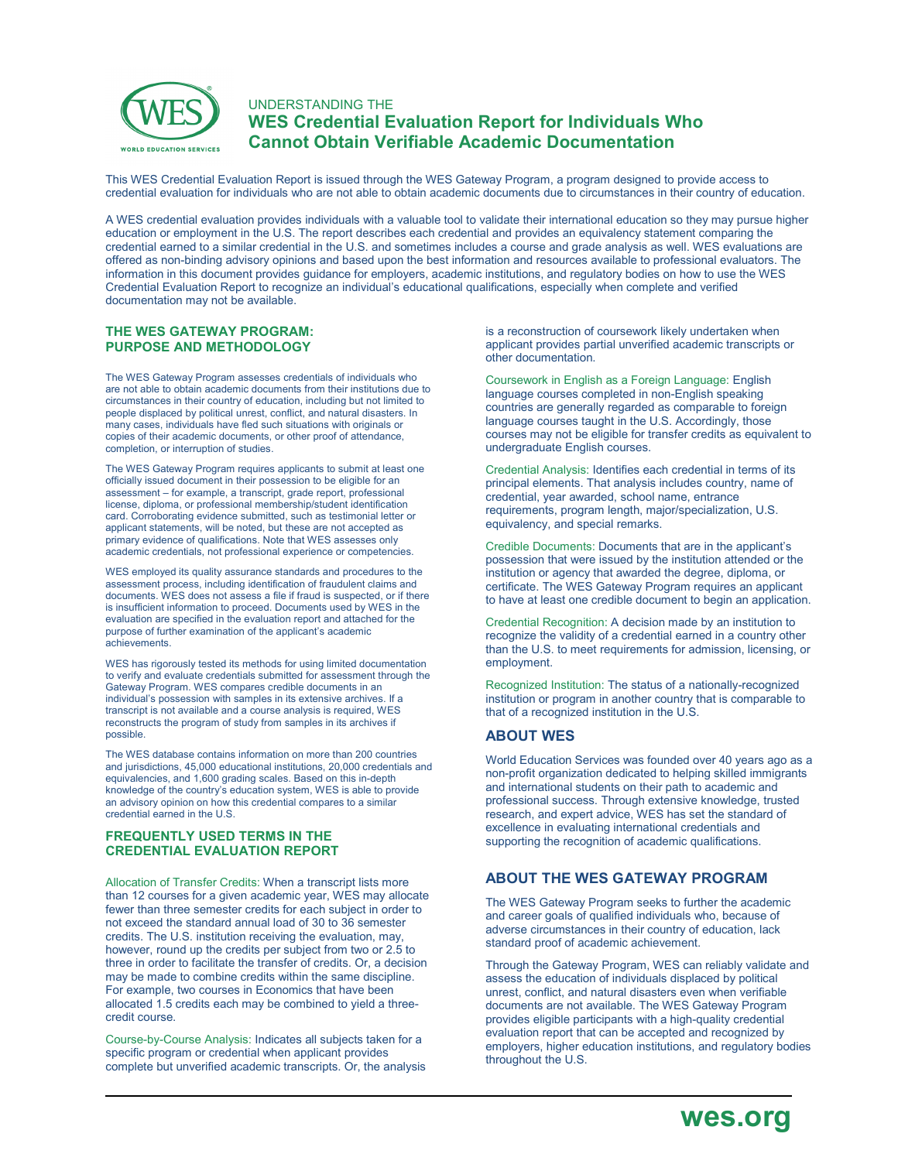

## UNDERSTANDING THE **WES Credential Evaluation Report for Individuals Who Cannot Obtain Verifiable Academic Documentation**

This WES Credential Evaluation Report is issued through the WES Gateway Program, a program designed to provide access to credential evaluation for individuals who are not able to obtain academic documents due to circumstances in their country of education.

A WES credential evaluation provides individuals with a valuable tool to validate their international education so they may pursue higher education or employment in the U.S. The report describes each credential and provides an equivalency statement comparing the credential earned to a similar credential in the U.S. and sometimes includes a course and grade analysis as well. WES evaluations are offered as non-binding advisory opinions and based upon the best information and resources available to professional evaluators. The information in this document provides guidance for employers, academic institutions, and regulatory bodies on how to use the WES Credential Evaluation Report to recognize an individual's educational qualifications, especially when complete and verified documentation may not be available.

#### **THE WES GATEWAY PROGRAM: PURPOSE AND METHODOLOGY**

The WES Gateway Program assesses credentials of individuals who are not able to obtain academic documents from their institutions due to circumstances in their country of education, including but not limited to people displaced by political unrest, conflict, and natural disasters. In many cases, individuals have fled such situations with originals or copies of their academic documents, or other proof of attendance, completion, or interruption of studies.

The WES Gateway Program requires applicants to submit at least one officially issued document in their possession to be eligible for an assessment – for example, a transcript, grade report, professional license, diploma, or professional membership/student identification card. Corroborating evidence submitted, such as testimonial letter or applicant statements, will be noted, but these are not accepted as primary evidence of qualifications. Note that WES assesses only academic credentials, not professional experience or competencies.

WES employed its quality assurance standards and procedures to the assessment process, including identification of fraudulent claims and documents. WES does not assess a file if fraud is suspected, or if there is insufficient information to proceed. Documents used by WES in the evaluation are specified in the evaluation report and attached for the purpose of further examination of the applicant's academic achievements.

WES has rigorously tested its methods for using limited documentation to verify and evaluate credentials submitted for assessment through the Gateway Program. WES compares credible documents in an individual's possession with samples in its extensive archives. If a transcript is not available and a course analysis is required, WES reconstructs the program of study from samples in its archives if possible.

The WES database contains information on more than 200 countries and jurisdictions, 45,000 educational institutions, 20,000 credentials and equivalencies, and 1,600 grading scales. Based on this in-depth knowledge of the country's education system, WES is able to provide an advisory opinion on how this credential compares to a similar credential earned in the U.S.

#### **FREQUENTLY USED TERMS IN THE CREDENTIAL EVALUATION REPORT**

Allocation of Transfer Credits: When a transcript lists more than 12 courses for a given academic year, WES may allocate fewer than three semester credits for each subject in order to not exceed the standard annual load of 30 to 36 semester credits. The U.S. institution receiving the evaluation, may, however, round up the credits per subject from two or 2.5 to three in order to facilitate the transfer of credits. Or, a decision may be made to combine credits within the same discipline. For example, two courses in Economics that have been allocated 1.5 credits each may be combined to yield a threecredit course.

Course-by-Course Analysis: Indicates all subjects taken for a specific program or credential when applicant provides complete but unverified academic transcripts. Or, the analysis is a reconstruction of coursework likely undertaken when applicant provides partial unverified academic transcripts or other documentation.

Coursework in English as a Foreign Language: English language courses completed in non-English speaking countries are generally regarded as comparable to foreign language courses taught in the U.S. Accordingly, those courses may not be eligible for transfer credits as equivalent to undergraduate English courses.

Credential Analysis: Identifies each credential in terms of its principal elements. That analysis includes country, name of credential, year awarded, school name, entrance requirements, program length, major/specialization, U.S. equivalency, and special remarks.

Credible Documents: Documents that are in the applicant's possession that were issued by the institution attended or the institution or agency that awarded the degree, diploma, or certificate. The WES Gateway Program requires an applicant to have at least one credible document to begin an application.

Credential Recognition: A decision made by an institution to recognize the validity of a credential earned in a country other than the U.S. to meet requirements for admission, licensing, or employment.

Recognized Institution: The status of a nationally-recognized institution or program in another country that is comparable to that of a recognized institution in the U.S.

### **ABOUT WES**

World Education Services was founded over 40 years ago as a non-profit organization dedicated to helping skilled immigrants and international students on their path to academic and professional success. Through extensive knowledge, trusted research, and expert advice, WES has set the standard of excellence in evaluating international credentials and supporting the recognition of academic qualifications.

## **ABOUT THE WES GATEWAY PROGRAM**

The WES Gateway Program seeks to further the academic and career goals of qualified individuals who, because of adverse circumstances in their country of education, lack standard proof of academic achievement.

Through the Gateway Program, WES can reliably validate and assess the education of individuals displaced by political unrest, conflict, and natural disasters even when verifiable documents are not available. The WES Gateway Program provides eligible participants with a high-quality credential evaluation report that can be accepted and recognized by employers, higher education institutions, and regulatory bodies throughout the U.S.